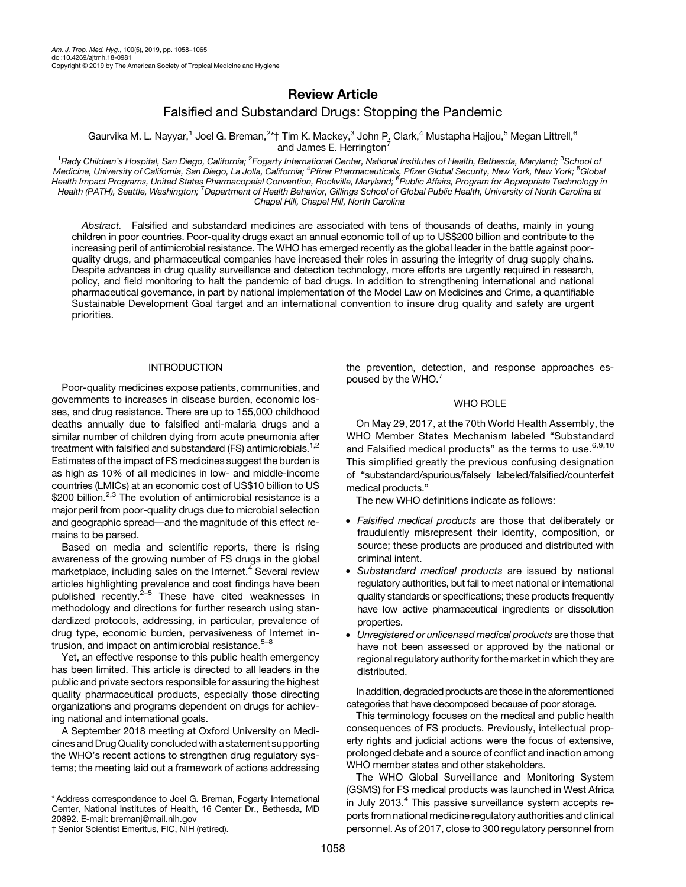# Review Article

## Falsified and Substandard Drugs: Stopping the Pandemic

Gaurvika M. L. Nayyar,<sup>1</sup> Joel G. Breman,<sup>2</sup>\*† Tim K. Mackey,<sup>3</sup> John P. Clark,<sup>4</sup> Mustapha Hajjou,<sup>5</sup> Megan Littrell,<sup>6</sup> and James E. Herrington<sup>7</sup>

<sup>1</sup>Rady Children's Hospital, San Diego, California; <sup>2</sup>Fogarty International Center, National Institutes of Health, Bethesda, Maryland; <sup>3</sup>School of Medicine, University of California, San Diego, La Jolla, California; <sup>4</sup>Pfizer Pharmaceuticals, Pfizer Global Security, New York, New York; <sup>5</sup>Global<br>Health Impact Programs, United States Pharmacopeial Convention, Rockvill Health (PATH), Seattle, Washington; <sup>7</sup>Department of Health Behavior, Gillings School of Global Public Health, University of North Carolina at Chapel Hill, Chapel Hill, North Carolina

Abstract. Falsified and substandard medicines are associated with tens of thousands of deaths, mainly in young children in poor countries. Poor-quality drugs exact an annual economic toll of up to US\$200 billion and contribute to the increasing peril of antimicrobial resistance. The WHO has emerged recently as the global leader in the battle against poorquality drugs, and pharmaceutical companies have increased their roles in assuring the integrity of drug supply chains. Despite advances in drug quality surveillance and detection technology, more efforts are urgently required in research, policy, and field monitoring to halt the pandemic of bad drugs. In addition to strengthening international and national pharmaceutical governance, in part by national implementation of the Model Law on Medicines and Crime, a quantifiable Sustainable Development Goal target and an international convention to insure drug quality and safety are urgent priorities.

#### INTRODUCTION

Poor-quality medicines expose patients, communities, and governments to increases in disease burden, economic losses, and drug resistance. There are up to 155,000 childhood deaths annually due to falsified anti-malaria drugs and a similar number of children dying from acute pneumonia after treatment with falsified and substandard (FS) antimicrobials.<sup>1,2</sup> Estimates of the impact of FS medicines suggest the burden is as high as 10% of all medicines in low- and middle-income countries (LMICs) at an economic cost of US\$10 billion to US \$[2](#page-6-0)00 billion.<sup>2,[3](#page-6-0)</sup> The evolution of antimicrobial resistance is a major peril from poor-quality drugs due to microbial selection and geographic spread—and the magnitude of this effect remains to be parsed.

Based on media and scientific reports, there is rising awareness of the growing number of FS drugs in the global marketplace, including sales on the Internet.<sup>[4](#page-6-0)</sup> Several review articles highlighting prevalence and cost findings have been published recently. $2-5$  $2-5$  $2-5$  These have cited weaknesses in methodology and directions for further research using standardized protocols, addressing, in particular, prevalence of drug type, economic burden, pervasiveness of Internet intrusion, and impact on antimicrobial resistance. $5-8$  $5-8$  $5-8$ 

Yet, an effective response to this public health emergency has been limited. This article is directed to all leaders in the public and private sectors responsible for assuring the highest quality pharmaceutical products, especially those directing organizations and programs dependent on drugs for achieving national and international goals.

A September 2018 meeting at Oxford University on Medicines and Drug Quality concluded with a statement supporting the WHO's recent actions to strengthen drug regulatory systems; the meeting laid out a framework of actions addressing

the prevention, detection, and response approaches espoused by the WHO.[7](#page-6-0)

### WHO ROLE

On May 29, 2017, at the 70th World Health Assembly, the WHO Member States Mechanism labeled "Substandard and Falsified medical products" as the terms to use. $6,9,10$ This simplified greatly the previous confusing designation of "substandard/spurious/falsely labeled/falsified/counterfeit medical products."

The new WHO definitions indicate as follows:

- Falsified medical products are those that deliberately or fraudulently misrepresent their identity, composition, or source; these products are produced and distributed with criminal intent.
- Substandard medical products are issued by national regulatory authorities, but fail to meet national or international quality standards or specifications; these products frequently have low active pharmaceutical ingredients or dissolution properties.
- Unregistered or unlicensed medical products are those that have not been assessed or approved by the national or regional regulatory authority for the market in which they are distributed.

In addition, degraded products are those in the aforementioned categories that have decomposed because of poor storage.

This terminology focuses on the medical and public health consequences of FS products. Previously, intellectual property rights and judicial actions were the focus of extensive, prolonged debate and a source of conflict and inaction among WHO member states and other stakeholders.

The WHO Global Surveillance and Monitoring System (GSMS) for FS medical products was launched in West Africa in July 2013. $4$  This passive surveillance system accepts reports from national medicine regulatory authorities and clinical personnel. As of 2017, close to 300 regulatory personnel from

<sup>\*</sup> Address correspondence to Joel G. Breman, Fogarty International Center, National Institutes of Health, 16 Center Dr., Bethesda, MD 20892. E-mail: [bremanj@mail.nih.gov](mailto:bremanj@mail.nih.gov)

<sup>†</sup>Senior Scientist Emeritus, FIC, NIH (retired).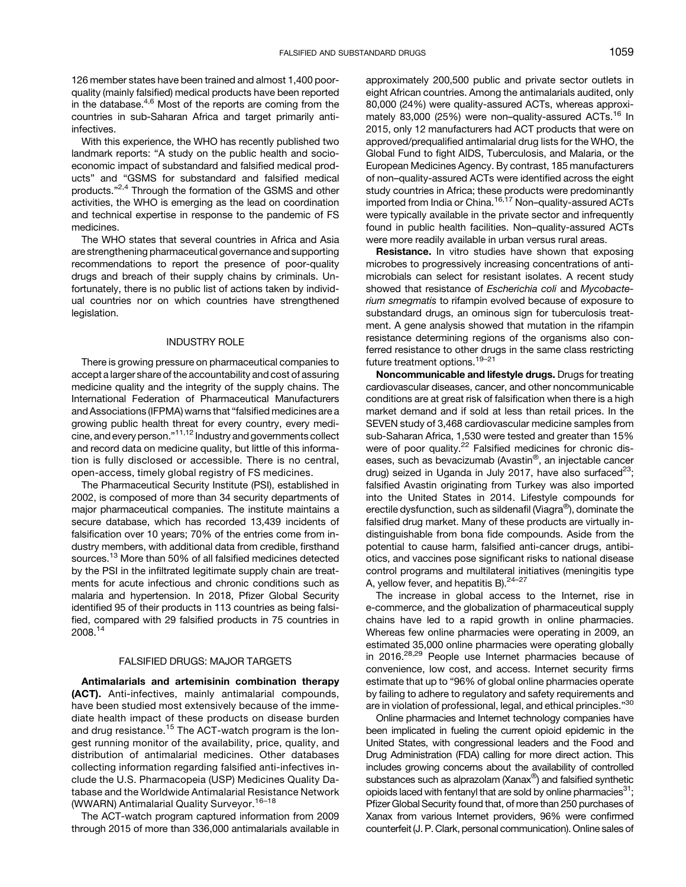126 member states have been trained and almost 1,400 poorquality (mainly falsified) medical products have been reported in the database.<sup>[4](#page-6-0),[6](#page-6-0)</sup> Most of the reports are coming from the countries in sub-Saharan Africa and target primarily antiinfectives.

With this experience, the WHO has recently published two landmark reports: "A study on the public health and socioeconomic impact of substandard and falsified medical products" and "GSMS for substandard and falsified medical products."<sup>[2](#page-6-0),[4](#page-6-0)</sup> Through the formation of the GSMS and other activities, the WHO is emerging as the lead on coordination and technical expertise in response to the pandemic of FS medicines.

The WHO states that several countries in Africa and Asia are strengthening pharmaceutical governance and supporting recommendations to report the presence of poor-quality drugs and breach of their supply chains by criminals. Unfortunately, there is no public list of actions taken by individual countries nor on which countries have strengthened legislation.

#### INDUSTRY ROLE

There is growing pressure on pharmaceutical companies to accept a larger share of the accountability and cost of assuring medicine quality and the integrity of the supply chains. The International Federation of Pharmaceutical Manufacturers and Associations (IFPMA) warns that "falsified medicines are a growing public health threat for every country, every medi-cine, and every person."<sup>[11,12](#page-6-0)</sup> Industry and governments collect and record data on medicine quality, but little of this information is fully disclosed or accessible. There is no central, open-access, timely global registry of FS medicines.

The Pharmaceutical Security Institute (PSI), established in 2002, is composed of more than 34 security departments of major pharmaceutical companies. The institute maintains a secure database, which has recorded 13,439 incidents of falsification over 10 years; 70% of the entries come from industry members, with additional data from credible, firsthand sources.<sup>[13](#page-6-0)</sup> More than 50% of all falsified medicines detected by the PSI in the infiltrated legitimate supply chain are treatments for acute infectious and chronic conditions such as malaria and hypertension. In 2018, Pfizer Global Security identified 95 of their products in 113 countries as being falsified, compared with 29 falsified products in 75 countries in 2008.[14](#page-6-0)

#### FALSIFIED DRUGS: MAJOR TARGETS

Antimalarials and artemisinin combination therapy (ACT). Anti-infectives, mainly antimalarial compounds, have been studied most extensively because of the immediate health impact of these products on disease burden and drug resistance.<sup>[15](#page-6-0)</sup> The ACT-watch program is the longest running monitor of the availability, price, quality, and distribution of antimalarial medicines. Other databases collecting information regarding falsified anti-infectives include the U.S. Pharmacopeia (USP) Medicines Quality Database and the Worldwide Antimalarial Resistance Network (WWARN) Antimalarial Quality Surveyor.<sup>[16](#page-6-0)-[18](#page-6-0)</sup>

The ACT-watch program captured information from 2009 through 2015 of more than 336,000 antimalarials available in approximately 200,500 public and private sector outlets in eight African countries. Among the antimalarials audited, only 80,000 (24%) were quality-assured ACTs, whereas approxi-mately 83,000 (25%) were non-quality-assured ACTs.<sup>[16](#page-6-0)</sup> In 2015, only 12 manufacturers had ACT products that were on approved/prequalified antimalarial drug lists for the WHO, the Global Fund to fight AIDS, Tuberculosis, and Malaria, or the European Medicines Agency. By contrast, 185 manufacturers of non–quality-assured ACTs were identified across the eight study countries in Africa; these products were predominantly imported from India or China.<sup>[16,17](#page-6-0)</sup> Non-quality-assured ACTs were typically available in the private sector and infrequently found in public health facilities. Non–quality-assured ACTs were more readily available in urban versus rural areas.

Resistance. In vitro studies have shown that exposing microbes to progressively increasing concentrations of antimicrobials can select for resistant isolates. A recent study showed that resistance of Escherichia coli and Mycobacterium smegmatis to rifampin evolved because of exposure to substandard drugs, an ominous sign for tuberculosis treatment. A gene analysis showed that mutation in the rifampin resistance determining regions of the organisms also conferred resistance to other drugs in the same class restricting future treatment options.[19](#page-6-0)–[21](#page-6-0)

Noncommunicable and lifestyle drugs. Drugs for treating cardiovascular diseases, cancer, and other noncommunicable conditions are at great risk of falsification when there is a high market demand and if sold at less than retail prices. In the SEVEN study of 3,468 cardiovascular medicine samples from sub-Saharan Africa, 1,530 were tested and greater than 15% were of poor quality.<sup>[22](#page-6-0)</sup> Falsified medicines for chronic diseases, such as bevacizumab (Avastin®, an injectable cancer drug) seized in Uganda in July 2017, have also surfaced $^{23}$ ; falsified Avastin originating from Turkey was also imported into the United States in 2014. Lifestyle compounds for erectile dysfunction, such as sildenafil (Viagra®), dominate the falsified drug market. Many of these products are virtually indistinguishable from bona fide compounds. Aside from the potential to cause harm, falsified anti-cancer drugs, antibiotics, and vaccines pose significant risks to national disease control programs and multilateral initiatives (meningitis type A, yellow fever, and hepatitis B).  $24-27$  $24-27$  $24-27$ 

The increase in global access to the Internet, rise in e-commerce, and the globalization of pharmaceutical supply chains have led to a rapid growth in online pharmacies. Whereas few online pharmacies were operating in 2009, an estimated 35,000 online pharmacies were operating globally in 2016.<sup>[28](#page-6-0),[29](#page-7-0)</sup> People use Internet pharmacies because of convenience, low cost, and access. Internet security firms estimate that up to "96% of global online pharmacies operate by failing to adhere to regulatory and safety requirements and are in violation of professional, legal, and ethical principles." $^{\rm 30}$  $^{\rm 30}$  $^{\rm 30}$ 

Online pharmacies and Internet technology companies have been implicated in fueling the current opioid epidemic in the United States, with congressional leaders and the Food and Drug Administration (FDA) calling for more direct action. This includes growing concerns about the availability of controlled substances such as alprazolam (Xanax<sup>®</sup>) and falsified synthetic opioids laced with fentanyl that are sold by online pharmacies $^{31}$ ; Pfizer Global Security found that, of more than 250 purchases of Xanax from various Internet providers, 96% were confirmed counterfeit (J. P. Clark, personal communication). Online sales of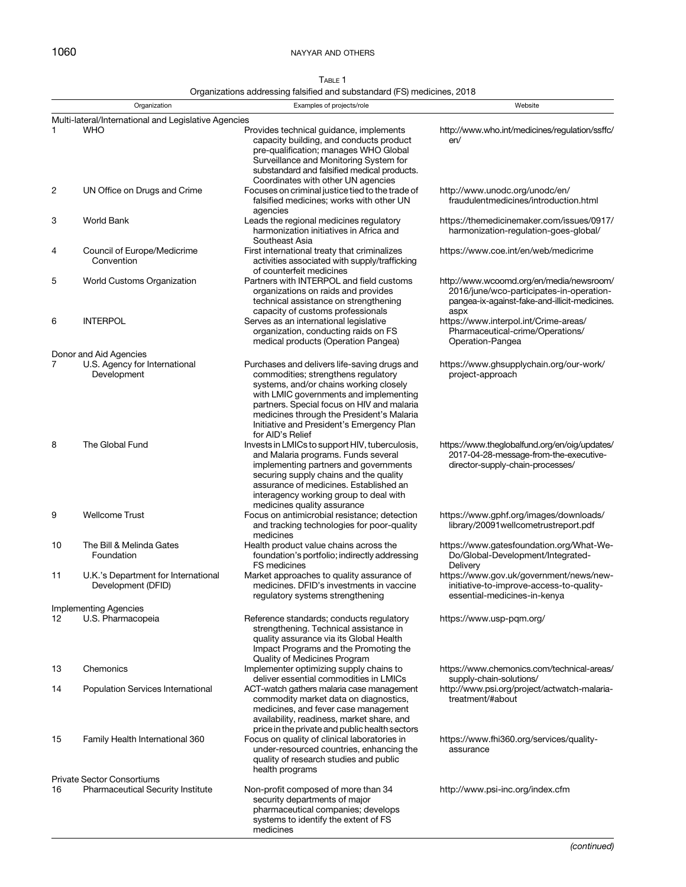# <span id="page-2-0"></span>1060 NAYYAR AND OTHERS

| TABLE 1                                                                 |  |
|-------------------------------------------------------------------------|--|
| Organizations addressing falsified and substandard (FS) medicines, 2018 |  |

|                                                      | Organization                                                         | Examples of projects/role                                                                                                                                                                                                                                                                                                           | Website                                                                                                                                       |  |  |
|------------------------------------------------------|----------------------------------------------------------------------|-------------------------------------------------------------------------------------------------------------------------------------------------------------------------------------------------------------------------------------------------------------------------------------------------------------------------------------|-----------------------------------------------------------------------------------------------------------------------------------------------|--|--|
| Multi-lateral/International and Legislative Agencies |                                                                      |                                                                                                                                                                                                                                                                                                                                     |                                                                                                                                               |  |  |
| 1.                                                   | <b>WHO</b>                                                           | Provides technical guidance, implements<br>capacity building, and conducts product<br>pre-qualification; manages WHO Global<br>Surveillance and Monitoring System for<br>substandard and falsified medical products.                                                                                                                | http://www.who.int/medicines/regulation/ssffc/<br>en/                                                                                         |  |  |
| 2                                                    | UN Office on Drugs and Crime                                         | Coordinates with other UN agencies<br>Focuses on criminal justice tied to the trade of<br>falsified medicines; works with other UN<br>agencies                                                                                                                                                                                      | http://www.unodc.org/unodc/en/<br>fraudulentmedicines/introduction.html                                                                       |  |  |
| 3                                                    | <b>World Bank</b>                                                    | Leads the regional medicines regulatory<br>harmonization initiatives in Africa and<br>Southeast Asia                                                                                                                                                                                                                                | https://themedicinemaker.com/issues/0917/<br>harmonization-regulation-goes-global/                                                            |  |  |
| 4                                                    | Council of Europe/Medicrime<br>Convention                            | First international treaty that criminalizes<br>activities associated with supply/trafficking<br>of counterfeit medicines                                                                                                                                                                                                           | https://www.coe.int/en/web/medicrime                                                                                                          |  |  |
| 5                                                    | World Customs Organization                                           | Partners with INTERPOL and field customs<br>organizations on raids and provides<br>technical assistance on strengthening<br>capacity of customs professionals                                                                                                                                                                       | http://www.wcoomd.org/en/media/newsroom/<br>2016/june/wco-participates-in-operation-<br>pangea-ix-against-fake-and-illicit-medicines.<br>aspx |  |  |
| 6                                                    | <b>INTERPOL</b>                                                      | Serves as an international legislative<br>organization, conducting raids on FS<br>medical products (Operation Pangea)                                                                                                                                                                                                               | https://www.interpol.int/Crime-areas/<br>Pharmaceutical-crime/Operations/<br>Operation-Pangea                                                 |  |  |
|                                                      | Donor and Aid Agencies                                               |                                                                                                                                                                                                                                                                                                                                     |                                                                                                                                               |  |  |
| $\overline{7}$                                       | U.S. Agency for International<br>Development                         | Purchases and delivers life-saving drugs and<br>commodities; strengthens regulatory<br>systems, and/or chains working closely<br>with LMIC governments and implementing<br>partners. Special focus on HIV and malaria<br>medicines through the President's Malaria<br>Initiative and President's Emergency Plan<br>for AID's Relief | https://www.ghsupplychain.org/our-work/<br>project-approach                                                                                   |  |  |
| 8                                                    | The Global Fund                                                      | Invests in LMICs to support HIV, tuberculosis,<br>and Malaria programs. Funds several<br>implementing partners and governments<br>securing supply chains and the quality<br>assurance of medicines. Established an<br>interagency working group to deal with<br>medicines quality assurance                                         | https://www.theglobalfund.org/en/oig/updates/<br>2017-04-28-message-from-the-executive-<br>director-supply-chain-processes/                   |  |  |
| 9                                                    | <b>Wellcome Trust</b>                                                | Focus on antimicrobial resistance; detection<br>and tracking technologies for poor-quality<br>medicines                                                                                                                                                                                                                             | https://www.gphf.org/images/downloads/<br>library/20091wellcometrustreport.pdf                                                                |  |  |
| 10                                                   | The Bill & Melinda Gates<br>Foundation                               | Health product value chains across the<br>foundation's portfolio; indirectly addressing<br>FS medicines                                                                                                                                                                                                                             | https://www.gatesfoundation.org/What-We-<br>Do/Global-Development/Integrated-<br>Delivery                                                     |  |  |
| 11                                                   | U.K.'s Department for International<br>Development (DFID)            | Market approaches to quality assurance of<br>medicines. DFID's investments in vaccine<br>regulatory systems strengthening                                                                                                                                                                                                           | https://www.gov.uk/government/news/new-<br>initiative-to-improve-access-to-quality-<br>essential-medicines-in-kenya                           |  |  |
|                                                      | <b>Implementing Agencies</b>                                         |                                                                                                                                                                                                                                                                                                                                     |                                                                                                                                               |  |  |
| 12                                                   | U.S. Pharmacopeia                                                    | Reference standards; conducts regulatory<br>strengthening. Technical assistance in<br>quality assurance via its Global Health<br>Impact Programs and the Promoting the<br>Quality of Medicines Program                                                                                                                              | https://www.usp-pgm.org/                                                                                                                      |  |  |
| 13                                                   | Chemonics                                                            | Implementer optimizing supply chains to<br>deliver essential commodities in LMICs                                                                                                                                                                                                                                                   | https://www.chemonics.com/technical-areas/<br>supply-chain-solutions/                                                                         |  |  |
| 14                                                   | Population Services International                                    | ACT-watch gathers malaria case management<br>commodity market data on diagnostics,<br>medicines, and fever case management<br>availability, readiness, market share, and<br>price in the private and public health sectors                                                                                                          | http://www.psi.org/project/actwatch-malaria-<br>treatment/#about                                                                              |  |  |
| 15                                                   | Family Health International 360<br><b>Private Sector Consortiums</b> | Focus on quality of clinical laboratories in<br>under-resourced countries, enhancing the<br>quality of research studies and public<br>health programs                                                                                                                                                                               | https://www.fhi360.org/services/quality-<br>assurance                                                                                         |  |  |
| 16                                                   | <b>Pharmaceutical Security Institute</b>                             | Non-profit composed of more than 34                                                                                                                                                                                                                                                                                                 | http://www.psi-inc.org/index.cfm                                                                                                              |  |  |
|                                                      |                                                                      | security departments of major<br>pharmaceutical companies; develops<br>systems to identify the extent of FS<br>medicines                                                                                                                                                                                                            |                                                                                                                                               |  |  |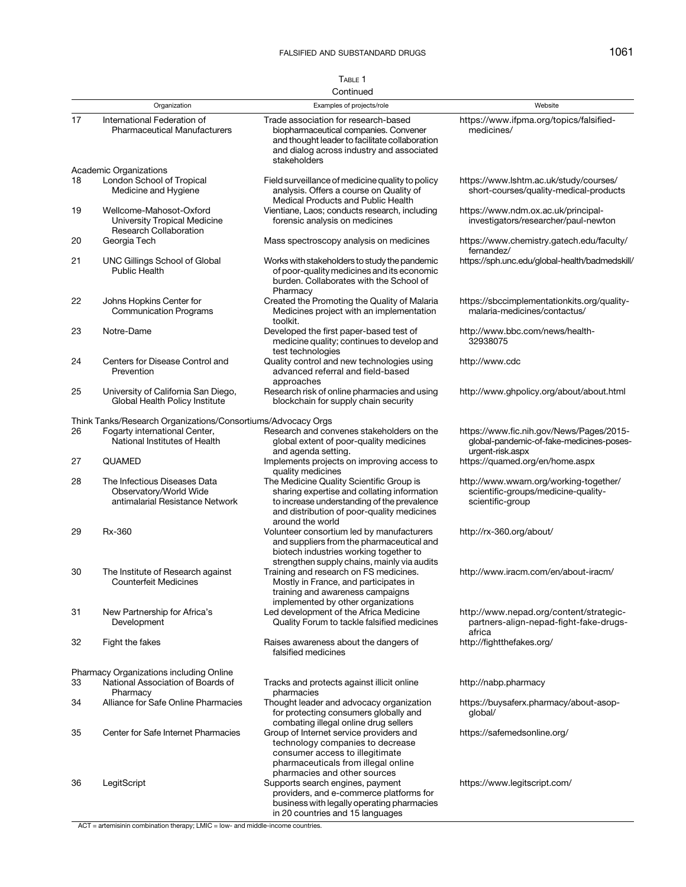# TABLE 1

|    |                                                                                           | Continued                                                                                                                                                                                                |                                                                                                          |
|----|-------------------------------------------------------------------------------------------|----------------------------------------------------------------------------------------------------------------------------------------------------------------------------------------------------------|----------------------------------------------------------------------------------------------------------|
|    | Organization                                                                              | Examples of projects/role                                                                                                                                                                                | Website                                                                                                  |
| 17 | International Federation of<br><b>Pharmaceutical Manufacturers</b>                        | Trade association for research-based<br>biopharmaceutical companies. Convener<br>and thought leader to facilitate collaboration<br>and dialog across industry and associated<br>stakeholders             | https://www.ifpma.org/topics/falsified-<br>medicines/                                                    |
|    | Academic Organizations                                                                    |                                                                                                                                                                                                          |                                                                                                          |
| 18 | London School of Tropical<br>Medicine and Hygiene                                         | Field surveillance of medicine quality to policy<br>analysis. Offers a course on Quality of<br>Medical Products and Public Health                                                                        | https://www.lshtm.ac.uk/study/courses/<br>short-courses/quality-medical-products                         |
| 19 | Wellcome-Mahosot-Oxford<br>University Tropical Medicine<br><b>Research Collaboration</b>  | Vientiane, Laos; conducts research, including<br>forensic analysis on medicines                                                                                                                          | https://www.ndm.ox.ac.uk/principal-<br>investigators/researcher/paul-newton                              |
| 20 | Georgia Tech                                                                              | Mass spectroscopy analysis on medicines                                                                                                                                                                  | https://www.chemistry.gatech.edu/faculty/<br>fernandez/                                                  |
| 21 | <b>UNC Gillings School of Global</b><br><b>Public Health</b>                              | Works with stakeholders to study the pandemic<br>of poor-quality medicines and its economic<br>burden. Collaborates with the School of<br>Pharmacy                                                       | https://sph.unc.edu/global-health/badmedskill/                                                           |
| 22 | Johns Hopkins Center for<br><b>Communication Programs</b>                                 | Created the Promoting the Quality of Malaria<br>Medicines project with an implementation<br>toolkit.                                                                                                     | https://sbccimplementationkits.org/quality-<br>malaria-medicines/contactus/                              |
| 23 | Notre-Dame                                                                                | Developed the first paper-based test of<br>medicine quality; continues to develop and<br>test technologies                                                                                               | http://www.bbc.com/news/health-<br>32938075                                                              |
| 24 | Centers for Disease Control and<br>Prevention                                             | Quality control and new technologies using<br>advanced referral and field-based<br>approaches                                                                                                            | http://www.cdc                                                                                           |
| 25 | University of California San Diego,<br>Global Health Policy Institute                     | Research risk of online pharmacies and using<br>blockchain for supply chain security                                                                                                                     | http://www.ghpolicy.org/about/about.html                                                                 |
|    | Think Tanks/Research Organizations/Consortiums/Advocacy Orgs                              |                                                                                                                                                                                                          |                                                                                                          |
| 26 | Fogarty international Center,<br>National Institutes of Health                            | Research and convenes stakeholders on the<br>global extent of poor-quality medicines<br>and agenda setting.                                                                                              | https://www.fic.nih.gov/News/Pages/2015-<br>global-pandemic-of-fake-medicines-poses-<br>urgent-risk.aspx |
| 27 | <b>QUAMED</b>                                                                             | Implements projects on improving access to<br>quality medicines                                                                                                                                          | https://quamed.org/en/home.aspx                                                                          |
| 28 | The Infectious Diseases Data<br>Observatory/World Wide<br>antimalarial Resistance Network | The Medicine Quality Scientific Group is<br>sharing expertise and collating information<br>to increase understanding of the prevalence<br>and distribution of poor-quality medicines<br>around the world | http://www.wwarn.org/working-together/<br>scientific-groups/medicine-quality-<br>scientific-group        |
| 29 | Rx-360                                                                                    | Volunteer consortium led by manufacturers<br>and suppliers from the pharmaceutical and<br>biotech industries working together to<br>strengthen supply chains, mainly via audits                          | http://rx-360.org/about/                                                                                 |
| 30 | The Institute of Research against<br><b>Counterfeit Medicines</b>                         | Training and research on FS medicines.<br>Mostly in France, and participates in<br>training and awareness campaigns<br>implemented by other organizations                                                | http://www.iracm.com/en/about-iracm/                                                                     |
| 31 | New Partnership for Africa's<br>Development                                               | Led development of the Africa Medicine<br>Quality Forum to tackle falsified medicines                                                                                                                    | http://www.nepad.org/content/strategic-<br>partners-align-nepad-fight-fake-drugs-<br>africa              |
| 32 | Fight the fakes                                                                           | Raises awareness about the dangers of<br>falsified medicines                                                                                                                                             | http://fightthefakes.org/                                                                                |
|    | <b>Pharmacy Organizations including Online</b>                                            |                                                                                                                                                                                                          |                                                                                                          |
| 33 | National Association of Boards of<br>Pharmacy                                             | Tracks and protects against illicit online<br>pharmacies                                                                                                                                                 | http://nabp.pharmacy                                                                                     |
| 34 | Alliance for Safe Online Pharmacies                                                       | Thought leader and advocacy organization<br>for protecting consumers globally and<br>combating illegal online drug sellers                                                                               | https://buysaferx.pharmacy/about-asop-<br>global/                                                        |
| 35 | Center for Safe Internet Pharmacies                                                       | Group of Internet service providers and<br>technology companies to decrease<br>consumer access to illegitimate<br>pharmaceuticals from illegal online<br>pharmacies and other sources                    | https://safemedsonline.org/                                                                              |
| 36 | LegitScript                                                                               | Supports search engines, payment<br>providers, and e-commerce platforms for<br>business with legally operating pharmacies<br>in 20 countries and 15 languages                                            | https://www.legitscript.com/                                                                             |

 $\overline{ACT}$  = artemisinin combination therapy;  $LMIC = low$ - and middle-income countries.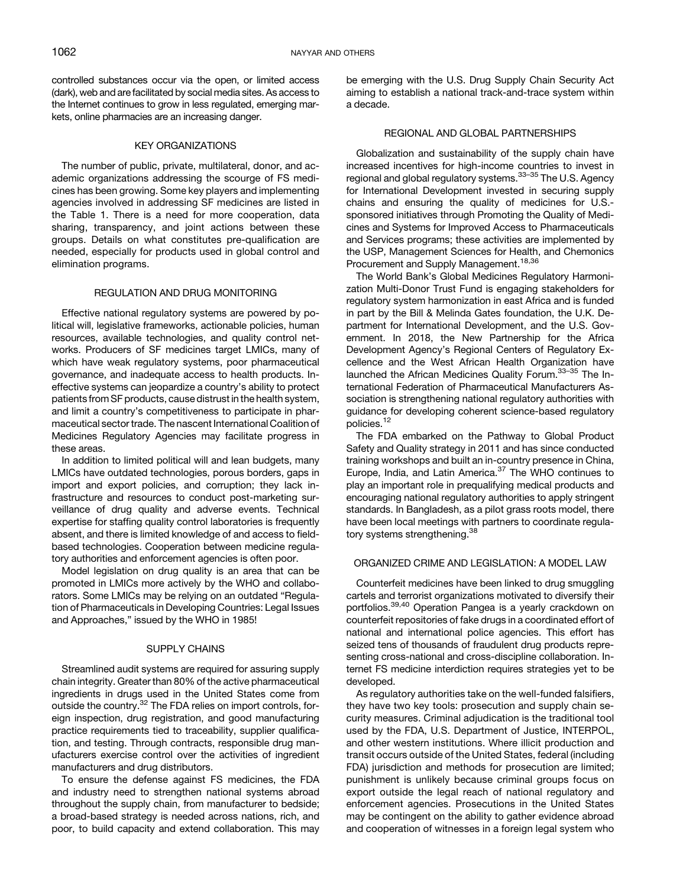controlled substances occur via the open, or limited access (dark), web and are facilitated by social media sites. As access to the Internet continues to grow in less regulated, emerging markets, online pharmacies are an increasing danger.

#### KEY ORGANIZATIONS

The number of public, private, multilateral, donor, and academic organizations addressing the scourge of FS medicines has been growing. Some key players and implementing agencies involved in addressing SF medicines are listed in the [Table 1.](#page-2-0) There is a need for more cooperation, data sharing, transparency, and joint actions between these groups. Details on what constitutes pre-qualification are needed, especially for products used in global control and elimination programs.

#### REGULATION AND DRUG MONITORING

Effective national regulatory systems are powered by political will, legislative frameworks, actionable policies, human resources, available technologies, and quality control networks. Producers of SF medicines target LMICs, many of which have weak regulatory systems, poor pharmaceutical governance, and inadequate access to health products. Ineffective systems can jeopardize a country's ability to protect patients from SF products, cause distrust in the health system, and limit a country's competitiveness to participate in pharmaceutical sector trade. The nascent International Coalition of Medicines Regulatory Agencies may facilitate progress in these areas.

In addition to limited political will and lean budgets, many LMICs have outdated technologies, porous borders, gaps in import and export policies, and corruption; they lack infrastructure and resources to conduct post-marketing surveillance of drug quality and adverse events. Technical expertise for staffing quality control laboratories is frequently absent, and there is limited knowledge of and access to fieldbased technologies. Cooperation between medicine regulatory authorities and enforcement agencies is often poor.

Model legislation on drug quality is an area that can be promoted in LMICs more actively by the WHO and collaborators. Some LMICs may be relying on an outdated "Regulation of Pharmaceuticals in Developing Countries: Legal Issues and Approaches," issued by the WHO in 1985!

#### SUPPLY CHAINS

Streamlined audit systems are required for assuring supply chain integrity. Greater than 80% of the active pharmaceutical ingredients in drugs used in the United States come from outside the country.<sup>[32](#page-7-0)</sup> The FDA relies on import controls, foreign inspection, drug registration, and good manufacturing practice requirements tied to traceability, supplier qualification, and testing. Through contracts, responsible drug manufacturers exercise control over the activities of ingredient manufacturers and drug distributors.

To ensure the defense against FS medicines, the FDA and industry need to strengthen national systems abroad throughout the supply chain, from manufacturer to bedside; a broad-based strategy is needed across nations, rich, and poor, to build capacity and extend collaboration. This may

be emerging with the U.S. Drug Supply Chain Security Act aiming to establish a national track-and-trace system within a decade.

### REGIONAL AND GLOBAL PARTNERSHIPS

Globalization and sustainability of the supply chain have increased incentives for high-income countries to invest in regional and global regulatory systems.<sup>[33](#page-7-0)-[35](#page-7-0)</sup> The U.S. Agency for International Development invested in securing supply chains and ensuring the quality of medicines for U.S. sponsored initiatives through Promoting the Quality of Medicines and Systems for Improved Access to Pharmaceuticals and Services programs; these activities are implemented by the USP, Management Sciences for Health, and Chemonics Procurement and Supply Management.<sup>[18,](#page-6-0)[36](#page-7-0)</sup>

The World Bank's Global Medicines Regulatory Harmonization Multi-Donor Trust Fund is engaging stakeholders for regulatory system harmonization in east Africa and is funded in part by the Bill & Melinda Gates foundation, the U.K. Department for International Development, and the U.S. Government. In 2018, the New Partnership for the Africa Development Agency's Regional Centers of Regulatory Excellence and the West African Health Organization have launched the African Medicines Quality Forum.<sup>[33](#page-7-0)-[35](#page-7-0)</sup> The International Federation of Pharmaceutical Manufacturers Association is strengthening national regulatory authorities with guidance for developing coherent science-based regulatory policies.<sup>[12](#page-6-0)</sup>

The FDA embarked on the Pathway to Global Product Safety and Quality strategy in 2011 and has since conducted training workshops and built an in-country presence in China, Europe, India, and Latin America.[37](#page-7-0) The WHO continues to play an important role in prequalifying medical products and encouraging national regulatory authorities to apply stringent standards. In Bangladesh, as a pilot grass roots model, there have been local meetings with partners to coordinate regula-tory systems strengthening.<sup>[38](#page-7-0)</sup>

### ORGANIZED CRIME AND LEGISLATION: A MODEL LAW

Counterfeit medicines have been linked to drug smuggling cartels and terrorist organizations motivated to diversify their portfolios.[39,40](#page-7-0) Operation Pangea is a yearly crackdown on counterfeit repositories of fake drugs in a coordinated effort of national and international police agencies. This effort has seized tens of thousands of fraudulent drug products representing cross-national and cross-discipline collaboration. Internet FS medicine interdiction requires strategies yet to be developed.

As regulatory authorities take on the well-funded falsifiers, they have two key tools: prosecution and supply chain security measures. Criminal adjudication is the traditional tool used by the FDA, U.S. Department of Justice, INTERPOL, and other western institutions. Where illicit production and transit occurs outside of the United States, federal (including FDA) jurisdiction and methods for prosecution are limited; punishment is unlikely because criminal groups focus on export outside the legal reach of national regulatory and enforcement agencies. Prosecutions in the United States may be contingent on the ability to gather evidence abroad and cooperation of witnesses in a foreign legal system who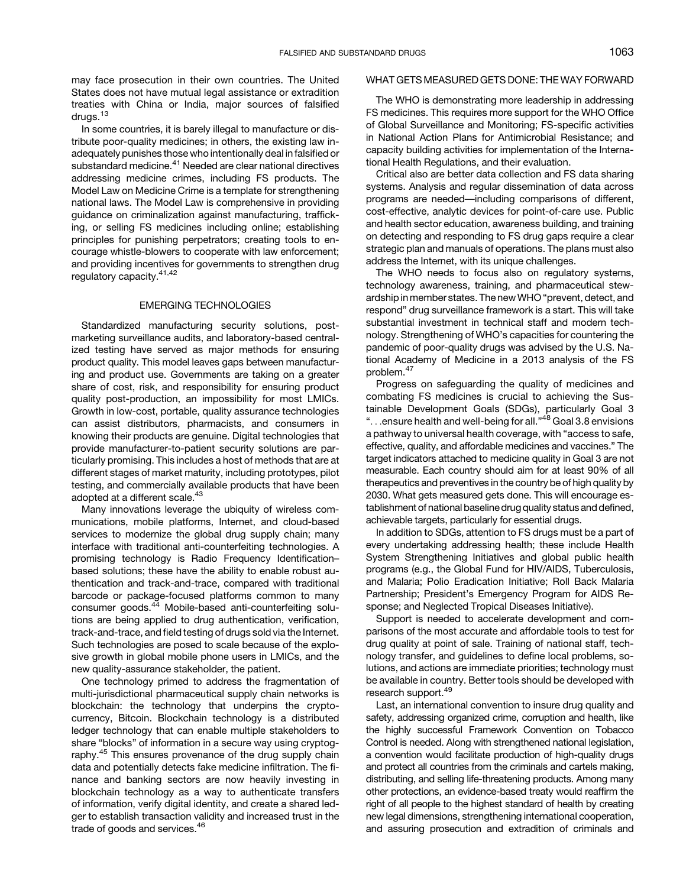may face prosecution in their own countries. The United States does not have mutual legal assistance or extradition treaties with China or India, major sources of falsified drugs.<sup>[13](#page-6-0)</sup>

In some countries, it is barely illegal to manufacture or distribute poor-quality medicines; in others, the existing law inadequately punishes those who intentionally deal in falsified or substandard medicine.<sup>[41](#page-7-0)</sup> Needed are clear national directives addressing medicine crimes, including FS products. The Model Law on Medicine Crime is a template for strengthening national laws. The Model Law is comprehensive in providing guidance on criminalization against manufacturing, trafficking, or selling FS medicines including online; establishing principles for punishing perpetrators; creating tools to encourage whistle-blowers to cooperate with law enforcement; and providing incentives for governments to strengthen drug regulatory capacity.<sup>[41](#page-7-0),[42](#page-7-0)</sup>

### EMERGING TECHNOLOGIES

Standardized manufacturing security solutions, postmarketing surveillance audits, and laboratory-based centralized testing have served as major methods for ensuring product quality. This model leaves gaps between manufacturing and product use. Governments are taking on a greater share of cost, risk, and responsibility for ensuring product quality post-production, an impossibility for most LMICs. Growth in low-cost, portable, quality assurance technologies can assist distributors, pharmacists, and consumers in knowing their products are genuine. Digital technologies that provide manufacturer-to-patient security solutions are particularly promising. This includes a host of methods that are at different stages of market maturity, including prototypes, pilot testing, and commercially available products that have been adopted at a different scale.<sup>[43](#page-7-0)</sup>

Many innovations leverage the ubiquity of wireless communications, mobile platforms, Internet, and cloud-based services to modernize the global drug supply chain; many interface with traditional anti-counterfeiting technologies. A promising technology is Radio Frequency Identification– based solutions; these have the ability to enable robust authentication and track-and-trace, compared with traditional barcode or package-focused platforms common to many consumer goods.<sup>[44](#page-7-0)</sup> Mobile-based anti-counterfeiting solutions are being applied to drug authentication, verification, track-and-trace, and field testing of drugs sold via the Internet. Such technologies are posed to scale because of the explosive growth in global mobile phone users in LMICs, and the new quality-assurance stakeholder, the patient.

One technology primed to address the fragmentation of multi-jurisdictional pharmaceutical supply chain networks is blockchain: the technology that underpins the cryptocurrency, Bitcoin. Blockchain technology is a distributed ledger technology that can enable multiple stakeholders to share "blocks" of information in a secure way using cryptog-raphy.<sup>[45](#page-7-0)</sup> This ensures provenance of the drug supply chain data and potentially detects fake medicine infiltration. The finance and banking sectors are now heavily investing in blockchain technology as a way to authenticate transfers of information, verify digital identity, and create a shared ledger to establish transaction validity and increased trust in the trade of goods and services.<sup>[46](#page-7-0)</sup>

### WHAT GETS MEASURED GETS DONE: THE WAY FORWARD

The WHO is demonstrating more leadership in addressing FS medicines. This requires more support for the WHO Office of Global Surveillance and Monitoring; FS-specific activities in National Action Plans for Antimicrobial Resistance; and capacity building activities for implementation of the International Health Regulations, and their evaluation.

Critical also are better data collection and FS data sharing systems. Analysis and regular dissemination of data across programs are needed—including comparisons of different, cost-effective, analytic devices for point-of-care use. Public and health sector education, awareness building, and training on detecting and responding to FS drug gaps require a clear strategic plan and manuals of operations. The plans must also address the Internet, with its unique challenges.

The WHO needs to focus also on regulatory systems, technology awareness, training, and pharmaceutical stewardship in member states. The newWHO "prevent, detect, and respond" drug surveillance framework is a start. This will take substantial investment in technical staff and modern technology. Strengthening of WHO's capacities for countering the pandemic of poor-quality drugs was advised by the U.S. National Academy of Medicine in a 2013 analysis of the FS problem.[47](#page-7-0)

Progress on safeguarding the quality of medicines and combating FS medicines is crucial to achieving the Sustainable Development Goals (SDGs), particularly Goal 3 "...ensure health and well-being for all." [48](#page-7-0) Goal 3.8 envisions a pathway to universal health coverage, with "access to safe, effective, quality, and affordable medicines and vaccines." The target indicators attached to medicine quality in Goal 3 are not measurable. Each country should aim for at least 90% of all therapeutics and preventives in the country be of high quality by 2030. What gets measured gets done. This will encourage establishment of national baseline drug quality status and defined, achievable targets, particularly for essential drugs.

In addition to SDGs, attention to FS drugs must be a part of every undertaking addressing health; these include Health System Strengthening Initiatives and global public health programs (e.g., the Global Fund for HIV/AIDS, Tuberculosis, and Malaria; Polio Eradication Initiative; Roll Back Malaria Partnership; President's Emergency Program for AIDS Response; and Neglected Tropical Diseases Initiative).

Support is needed to accelerate development and comparisons of the most accurate and affordable tools to test for drug quality at point of sale. Training of national staff, technology transfer, and guidelines to define local problems, solutions, and actions are immediate priorities; technology must be available in country. Better tools should be developed with research support.<sup>[49](#page-7-0)</sup>

Last, an international convention to insure drug quality and safety, addressing organized crime, corruption and health, like the highly successful Framework Convention on Tobacco Control is needed. Along with strengthened national legislation, a convention would facilitate production of high-quality drugs and protect all countries from the criminals and cartels making, distributing, and selling life-threatening products. Among many other protections, an evidence-based treaty would reaffirm the right of all people to the highest standard of health by creating new legal dimensions, strengthening international cooperation, and assuring prosecution and extradition of criminals and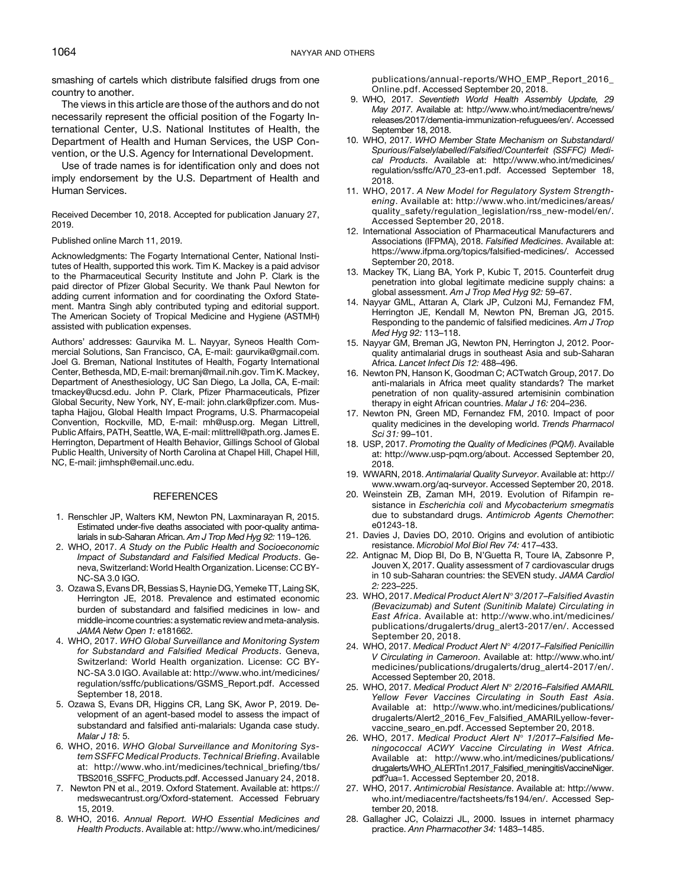<span id="page-6-0"></span>smashing of cartels which distribute falsified drugs from one country to another.

The views in this article are those of the authors and do not necessarily represent the official position of the Fogarty International Center, U.S. National Institutes of Health, the Department of Health and Human Services, the USP Convention, or the U.S. Agency for International Development.

Use of trade names is for identification only and does not imply endorsement by the U.S. Department of Health and Human Services.

Received December 10, 2018. Accepted for publication January 27, 2019.

#### Published online March 11, 2019.

Acknowledgments: The Fogarty International Center, National Institutes of Health, supported this work. Tim K. Mackey is a paid advisor to the Pharmaceutical Security Institute and John P. Clark is the paid director of Pfizer Global Security. We thank Paul Newton for adding current information and for coordinating the Oxford Statement. Mantra Singh ably contributed typing and editorial support. The American Society of Tropical Medicine and Hygiene (ASTMH) assisted with publication expenses.

Authors' addresses: Gaurvika M. L. Nayyar, Syneos Health Commercial Solutions, San Francisco, CA, E-mail: [gaurvika@gmail.com](mailto:gaurvika@gmail.com). Joel G. Breman, National Institutes of Health, Fogarty International Center, Bethesda, MD, E-mail: [bremanj@mail.nih.gov.](http://bremanj@mail.nih.gov) Tim K. Mackey, Department of Anesthesiology, UC San Diego, La Jolla, CA, E-mail: [tmackey@ucsd.edu.](mailto:tmackey@ucsd.edu) John P. Clark, Pfizer Pharmaceuticals, Pfizer Global Security, New York, NY, E-mail: [john.clark@p](mailto:john.clark@pfizer.com)fizer.com. Mustapha Hajjou, Global Health Impact Programs, U.S. Pharmacopeial Convention, Rockville, MD, E-mail: [mh@usp.org](mailto:mh@usp.org). Megan Littrell, Public Affairs, PATH, Seattle, WA, E-mail: [mlittrell@path.org](mailto:mlittrell@path.org). James E. Herrington, Department of Health Behavior, Gillings School of Global Public Health, University of North Carolina at Chapel Hill, Chapel Hill, NC, E-mail: [jimhsph@email.unc.edu](mailto:jimhsph@email.unc.edu).

#### **REFERENCES**

- 1. Renschler JP, Walters KM, Newton PN, Laxminarayan R, 2015. Estimated under-five deaths associated with poor-quality antimalarials in sub-Saharan African. Am J Trop Med Hyg 92: 119-126.
- 2. WHO, 2017. A Study on the Public Health and Socioeconomic Impact of Substandard and Falsified Medical Products. Geneva, Switzerland: World Health Organization. License: CC BY-NC-SA 3.0 IGO.
- 3. Ozawa S, Evans DR, Bessias S, Haynie DG, Yemeke TT, Laing SK, Herrington JE, 2018. Prevalence and estimated economic burden of substandard and falsified medicines in low- and middle-income countries: a systematic review and meta-analysis. JAMA Netw Open 1: e181662.
- 4. WHO, 2017. WHO Global Surveillance and Monitoring System for Substandard and Falsified Medical Products. Geneva, Switzerland: World Health organization. License: CC BY-NC-SA 3.0 IGO. Available at: [http://www.who.int/medicines/](http://www.who.int/medicines/regulation/ssffc/publications/GSMS_Report.pdf) [regulation/ssffc/publications/GSMS\\_Report.pdf.](http://www.who.int/medicines/regulation/ssffc/publications/GSMS_Report.pdf) Accessed September 18, 2018.
- 5. Ozawa S, Evans DR, Higgins CR, Lang SK, Awor P, 2019. Development of an agent-based model to assess the impact of substandard and falsified anti-malarials: Uganda case study. Malar J 18: 5.
- 6. WHO, 2016. WHO Global Surveillance and Monitoring System SSFFC Medical Products. Technical Briefing. Available at: [http://www.who.int/medicines/technical\\_brie](http://www.who.int/medicines/technical_briefing/tbs/TBS2016_SSFFC_Products.pdf)fing/tbs/ [TBS2016\\_SSFFC\\_Products.pdf](http://www.who.int/medicines/technical_briefing/tbs/TBS2016_SSFFC_Products.pdf). Accessed January 24, 2018.
- 7. Newton PN et al., 2019. Oxford Statement. Available at: [https://](https://medswecantrust.org/Oxford-statement) [medswecantrust.org/Oxford-statement](https://medswecantrust.org/Oxford-statement). Accessed February 15, 2019.
- 8. WHO, 2016. Annual Report. WHO Essential Medicines and Health Products. Available at: [http://www.who.int/medicines/](http://www.who.int/medicines/publications/annual-reports/WHO_EMP_Report_2016_Online.pdf)

[publications/annual-reports/WHO\\_EMP\\_Report\\_2016\\_](http://www.who.int/medicines/publications/annual-reports/WHO_EMP_Report_2016_Online.pdf) [Online.pdf](http://www.who.int/medicines/publications/annual-reports/WHO_EMP_Report_2016_Online.pdf). Accessed September 20, 2018.

- 9. WHO, 2017. Seventieth World Health Assembly Update, 29 May 2017. Available at: [http://www.who.int/mediacentre/news/](http://www.who.int/mediacentre/news/releases/2017/dementia-immunization-refuguees/en/) [releases/2017/dementia-immunization-refuguees/en/](http://www.who.int/mediacentre/news/releases/2017/dementia-immunization-refuguees/en/). Accessed September 18, 2018.
- 10. WHO, 2017. WHO Member State Mechanism on Substandard/ Spurious/Falselylabelled/Falsified/Counterfeit (SSFFC) Medical Products. Available at: [http://www.who.int/medicines/](http://www.who.int/medicines/regulation/ssffc/A70_23-en1.pdf) [regulation/ssffc/A70\\_23-en1.pdf](http://www.who.int/medicines/regulation/ssffc/A70_23-en1.pdf). Accessed September 18, 2018.
- 11. WHO, 2017. A New Model for Regulatory System Strengthening. Available at: [http://www.who.int/medicines/areas/](http://www.who.int/medicines/areas/quality_safety/regulation_legislation/rss_new-model/en/) [quality\\_safety/regulation\\_legislation/rss\\_new-model/en/.](http://www.who.int/medicines/areas/quality_safety/regulation_legislation/rss_new-model/en/) Accessed September 20, 2018.
- 12. International Association of Pharmaceutical Manufacturers and Associations (IFPMA), 2018. Falsified Medicines. Available at: [https://www.ifpma.org/topics/falsi](https://www.ifpma.org/topics/falsified-medicines/)fied-medicines/. Accessed September 20, 2018.
- 13. Mackey TK, Liang BA, York P, Kubic T, 2015. Counterfeit drug penetration into global legitimate medicine supply chains: a global assessment. Am J Trop Med Hyg 92: 59–67.
- 14. Nayyar GML, Attaran A, Clark JP, Culzoni MJ, Fernandez FM, Herrington JE, Kendall M, Newton PN, Breman JG, 2015. Responding to the pandemic of falsified medicines. Am J Trop Med Hyg 92: 113–118.
- 15. Nayyar GM, Breman JG, Newton PN, Herrington J, 2012. Poorquality antimalarial drugs in southeast Asia and sub-Saharan Africa. Lancet Infect Dis 12: 488–496.
- 16. Newton PN, Hanson K, Goodman C; ACTwatch Group, 2017. Do anti-malarials in Africa meet quality standards? The market penetration of non quality-assured artemisinin combination therapy in eight African countries. Malar J 16: 204-236.
- 17. Newton PN, Green MD, Fernandez FM, 2010. Impact of poor quality medicines in the developing world. Trends Pharmacol Sci 31: 99–101.
- 18. USP, 2017. Promoting the Quality of Medicines (PQM). Available at: [http://www.usp-pqm.org/about.](http://www.usp-pqm.org/about) Accessed September 20, 2018.
- 19. WWARN, 2018. Antimalarial Quality Surveyor. Available at: [http://](http://www.wwarn.org/aq-surveyor) [www.wwarn.org/aq-surveyor.](http://www.wwarn.org/aq-surveyor) Accessed September 20, 2018.
- 20. Weinstein ZB, Zaman MH, 2019. Evolution of Rifampin resistance in Escherichia coli and Mycobacterium smegmatis due to substandard drugs. Antimicrob Agents Chemother: e01243-18.
- 21. Davies J, Davies DO, 2010. Origins and evolution of antibiotic resistance. Microbiol Mol Biol Rev 74: 417–433.
- 22. Antignac M, Diop BI, Do B, N'Guetta R, Toure IA, Zabsonre P, Jouven X, 2017. Quality assessment of 7 cardiovascular drugs in 10 sub-Saharan countries: the SEVEN study. JAMA Cardiol 2: 223–225.
- 23. WHO, 2017. Medical Product Alert N° 3/2017-Falsified Avastin (Bevacizumab) and Sutent (Sunitinib Malate) Circulating in East Africa. Available at: [http://www.who.int/medicines/](http://www.who.int/medicines/publications/drugalerts/drug_alert3-2017/en/) [publications/drugalerts/drug\\_alert3-2017/en/.](http://www.who.int/medicines/publications/drugalerts/drug_alert3-2017/en/) Accessed September 20, 2018.
- 24. WHO, 2017. Medical Product Alert Nº 4/2017-Falsified Penicillin V Circulating in Cameroon. Available at: [http://www.who.int/](http://www.who.int/medicines/publications/drugalerts/drug_alert4-2017/en/) [medicines/publications/drugalerts/drug\\_alert4-2017/en/.](http://www.who.int/medicines/publications/drugalerts/drug_alert4-2017/en/) Accessed September 20, 2018.
- 25. WHO, 2017. Medical Product Alert N° 2/2016–Falsified AMARIL Yellow Fever Vaccines Circulating in South East Asia. Available at: [http://www.who.int/medicines/publications/](http://www.who.int/medicines/publications/drugalerts/Alert2_2016_Fev_Falsified_AMARILyellow-fever-vaccine_searo_en.pdf) [drugalerts/Alert2\\_2016\\_Fev\\_Falsi](http://www.who.int/medicines/publications/drugalerts/Alert2_2016_Fev_Falsified_AMARILyellow-fever-vaccine_searo_en.pdf)fied\_AMARILyellow-fever[vaccine\\_searo\\_en.pdf.](http://www.who.int/medicines/publications/drugalerts/Alert2_2016_Fev_Falsified_AMARILyellow-fever-vaccine_searo_en.pdf) Accessed September 20, 2018.
- 26. WHO, 2017. Medical Product Alert  $N^{\circ}$  1/2017–Falsified Meningococcal ACWY Vaccine Circulating in West Africa. Available at: [http://www.who.int/medicines/publications/](http://www.who.int/medicines/publications/drugalerts/WHO_ALERTn1.2017_Falsified_meningitisVaccineNiger.pdf?ua=1) [drugalerts/WHO\\_ALERTn1.2017\\_Falsi](http://www.who.int/medicines/publications/drugalerts/WHO_ALERTn1.2017_Falsified_meningitisVaccineNiger.pdf?ua=1)fied\_meningitisVaccineNiger. [pdf?ua=1](http://www.who.int/medicines/publications/drugalerts/WHO_ALERTn1.2017_Falsified_meningitisVaccineNiger.pdf?ua=1). Accessed September 20, 2018.
- 27. WHO, 2017. Antimicrobial Resistance. Available at: [http://www.](http://www.who.int/mediacentre/factsheets/fs194/en/) [who.int/mediacentre/factsheets/fs194/en/](http://www.who.int/mediacentre/factsheets/fs194/en/). Accessed September 20, 2018.
- 28. Gallagher JC, Colaizzi JL, 2000. Issues in internet pharmacy practice. Ann Pharmacother 34: 1483–1485.